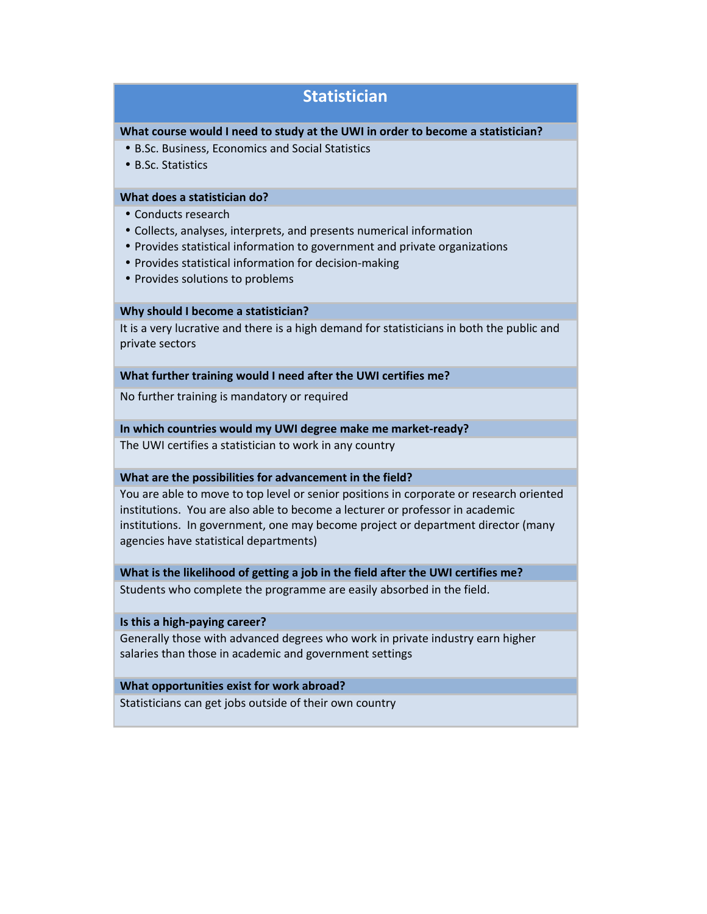# **Statistician**

#### **What course would I need to study at the UWI in order to become a statistician?**

- B.Sc. Business, Economics and Social Statistics
- B.Sc. Statistics

# **What does a statistician do?**

- Conducts research
- Collects, analyses, interprets, and presents numerical information
- Provides statistical information to government and private organizations
- Provides statistical information for decision-making
- Provides solutions to problems

# **Why should I become a statistician?**

It is a very lucrative and there is a high demand for statisticians in both the public and private sectors

#### **What further training would I need after the UWI certifies me?**

No further training is mandatory or required

# **In which countries would my UWI degree make me market-ready?**

The UWI certifies a statistician to work in any country

# **What are the possibilities for advancement in the field?**

You are able to move to top level or senior positions in corporate or research oriented institutions. You are also able to become a lecturer or professor in academic institutions. In government, one may become project or department director (many agencies have statistical departments)

#### **What is the likelihood of getting a job in the field after the UWI certifies me?**

Students who complete the programme are easily absorbed in the field.

#### **Is this a high-paying career?**

Generally those with advanced degrees who work in private industry earn higher salaries than those in academic and government settings

# **What opportunities exist for work abroad?**

Statisticians can get jobs outside of their own country